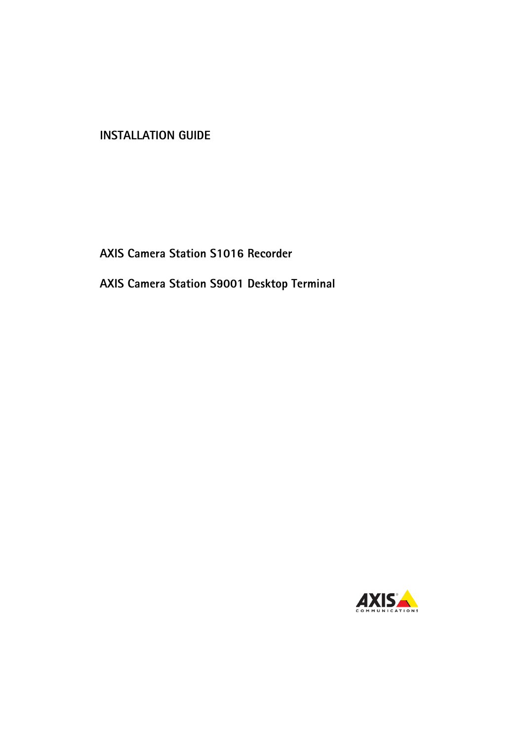## **INSTALLATION GUIDE**

## **AXIS Camera Station S1016 Recorder**

**AXIS Camera Station S9001 Desktop Terminal**

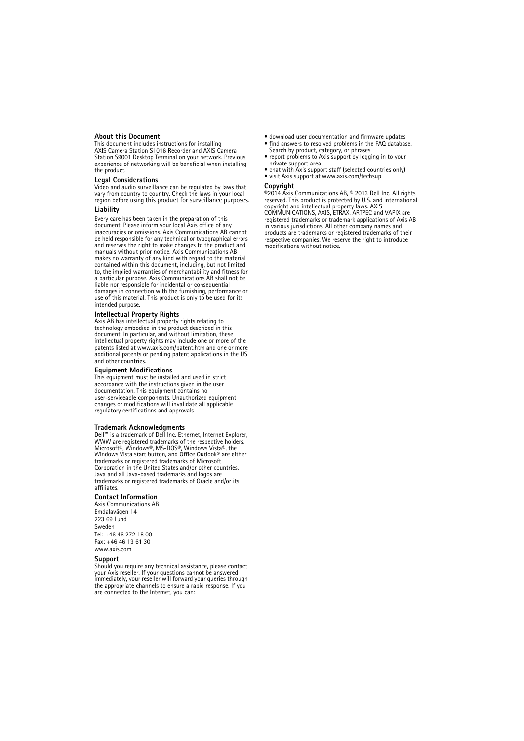#### **About this Document**

This document includes instructions for installing AXIS Camera Station S1016 Recorder and AXIS Camera Station S9001 Desktop Terminal on your network. Previous experience of networking will be beneficial when installing the product.

#### **Legal Considerations**

Video and audio surveillance can be regulated by laws that vary from country to country. Check the laws in your local region before using this product for surveillance purposes.

#### **Liability**

Every care has been taken in the preparation of this document. Please inform your local Axis office of any inaccuracies or omissions. Axis Communications AB cannot be held responsible for any technical or typographical errors and reserves the right to make changes to the product and manuals without prior notice. Axis Communications AB makes no warranty of any kind with regard to the material contained within this document, including, but not limited to, the implied warranties of merchantability and fitness for a particular purpose. Axis Communications AB shall not be liable nor responsible for incidental or consequential damages in connection with the furnishing, performance or use of this material. This product is only to be used for its intended purpose.

#### **Intellectual Property Rights**

Axis AB has intellectual property rights relating to technology embodied in the product described in this document. In particular, and without limitation, these intellectual property rights may include one or more of the patents listed at www.axis.com/patent.htm and one or more additional patents or pending patent applications in the US and other countries.

#### **Equipment Modifications**

This equipment must be installed and used in strict accordance with the instructions given in the user documentation. This equipment contains no user-serviceable components. Unauthorized equipment changes or modifications will invalidate all applicable regulatory certifications and approvals.

#### **Trademark Acknowledgments**

Dell™ is a trademark of Dell Inc. Ethernet, Internet Explorer, WWW are registered trademarks of the respective holders. Microsoft®, Windows®, MS-DOS®, Windows Vista®, the Windows Vista start button, and Office Outlook® are either trademarks or registered trademarks of Microsoft Corporation in the United States and/or other countries. Java and all Java-based trademarks and logos are trademarks or registered trademarks of Oracle and/or its affiliates.

#### **Contact Information**

Axis Communications AB Emdalavägen 14 223 69 Lund Sweden Tel: +46 46 272 18 00 Fax: +46 46 13 61 30 www.axis.com

#### **Support**

Should you require any technical assistance, please contact your Axis reseller. If your questions cannot be answered immediately, your reseller will forward your queries through the appropriate channels to ensure a rapid response. If you are connected to the Internet, you can:

- download user documentation and firmware updates
- find answers to resolved problems in the FAQ database. Search by product, category, or phrases
- report problems to Axis support by logging in to your private support area
- chat with Axis support staff (selected countries only)
- visit Axis support at www.axis.com/techsup

#### **Copyright**

©2014 Axis Communications AB, © 2013 Dell Inc. All rights reserved. This product is protected by U.S. and international copyright and intellectual property laws. AXIS COMMUNICATIONS, AXIS, ETRAX, ARTPEC and VAPIX are registered trademarks or trademark applications of Axis AB in various jurisdictions. All other company names and products are trademarks or registered trademarks of their respective companies. We reserve the right to introduce modifications without notice.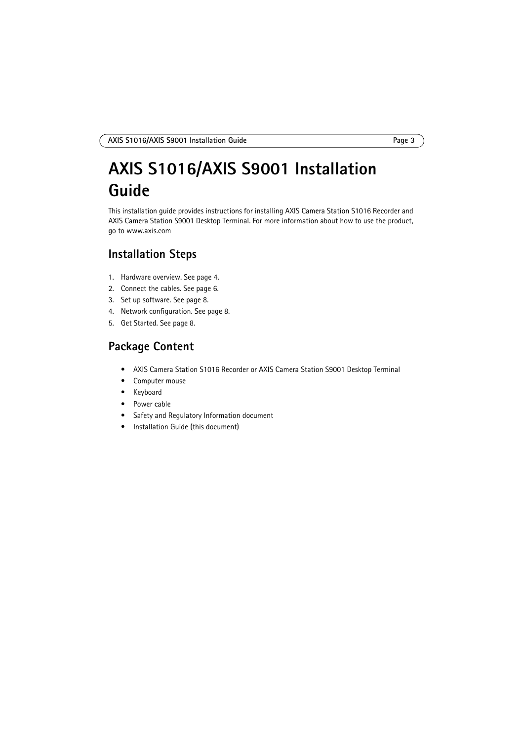## **AXIS S1016/AXIS S9001 Installation Guide**

This installation guide provides instructions for installing AXIS Camera Station S1016 Recorder and AXIS Camera Station S9001 Desktop Terminal. For more information about how to use the product, go to www.axis.com

## **Installation Steps**

- 1. Hardware overview. See [page 4](#page-3-0).
- 2. Connect the cables. See [page 6.](#page-5-0)
- 3. Set up software. See [page 8](#page-7-1).
- 4. Network configuration. See [page 8](#page-7-2).
- 5. Get Started. See [page 8](#page-7-0).

## **Package Content**

- AXIS Camera Station S1016 Recorder or AXIS Camera Station S9001 Desktop Terminal
- Computer mouse
- Keyboard
- Power cable
- Safety and Regulatory Information document
- Installation Guide (this document)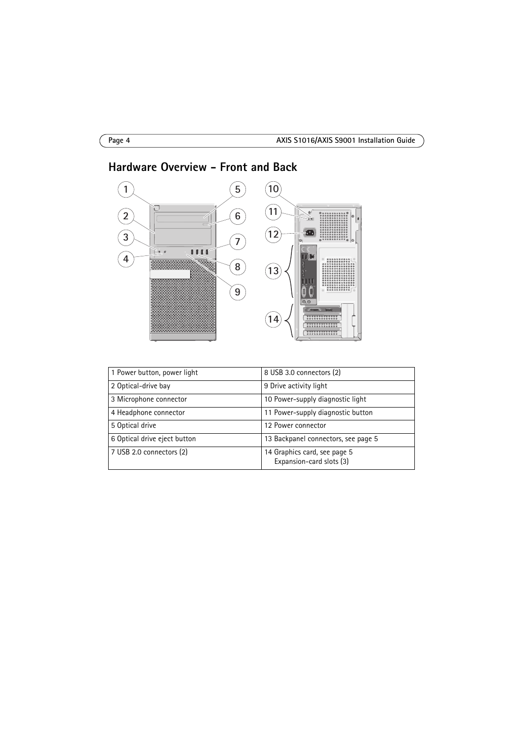

## <span id="page-3-0"></span>**Hardware Overview - Front and Back**

| 1 Power button, power light  | 8 USB 3.0 connectors (2)                                 |
|------------------------------|----------------------------------------------------------|
| 2 Optical-drive bay          | 9 Drive activity light                                   |
| 3 Microphone connector       | 10 Power-supply diagnostic light                         |
| 4 Headphone connector        | 11 Power-supply diagnostic button                        |
| 5 Optical drive              | 12 Power connector                                       |
| 6 Optical drive eject button | 13 Backpanel connectors, see page 5                      |
| 7 USB 2.0 connectors (2)     | 14 Graphics card, see page 5<br>Expansion-card slots (3) |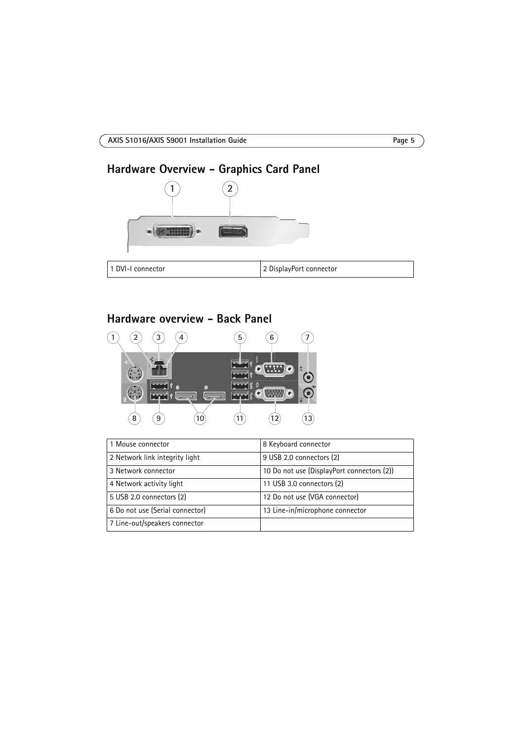# <span id="page-4-1"></span>**Hardware Overview - Graphics Card Panel 1**  $(2)$ **ONE HOUSE**

| 1 DVI-I connector | 2 DisplayPort connector |
|-------------------|-------------------------|

## <span id="page-4-0"></span>**Hardware overview - Back Panel**



| 1 Mouse connector               | 8 Keyboard connector                       |
|---------------------------------|--------------------------------------------|
| 2 Network link integrity light  | 9 USB 2.0 connectors (2)                   |
| 3 Network connector             | 10 Do not use (DisplayPort connectors (2)) |
| 4 Network activity light        | 11 USB 3.0 connectors (2)                  |
| 5 USB 2.0 connectors (2)        | 12 Do not use (VGA connector)              |
| 6 Do not use (Serial connector) | 13 Line-in/microphone connector            |
| 7 Line-out/speakers connector   |                                            |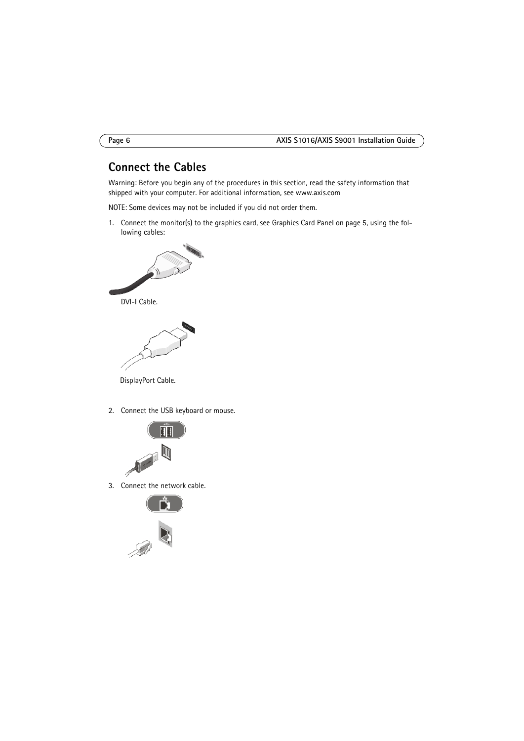## <span id="page-5-0"></span>**Connect the Cables**

Warning: Before you begin any of the procedures in this section, read the safety information that shipped with your computer. For additional information, see www.axis.com

NOTE: Some devices may not be included if you did not order them.

1. Connect the monitor(s) to the graphics card, see Graphics Card Panel on [page 5,](#page-4-1) using the following cables:





DisplayPort Cable.

2. Connect the USB keyboard or mouse.



3. Connect the network cable.



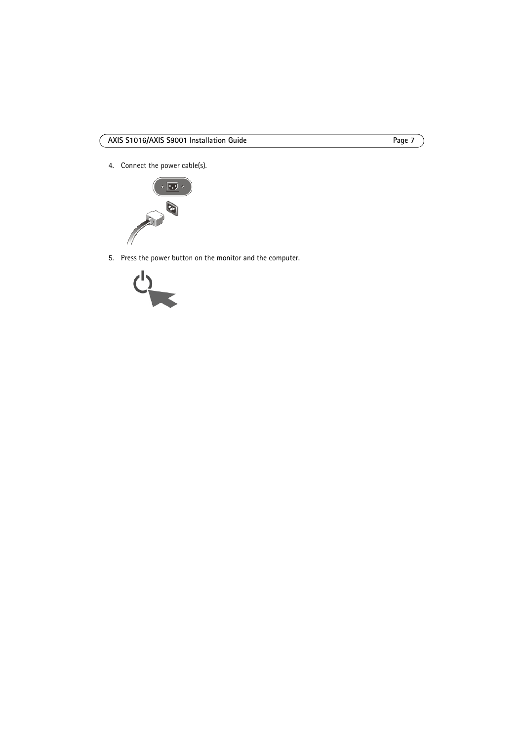4. Connect the power cable(s).



5. Press the power button on the monitor and the computer.

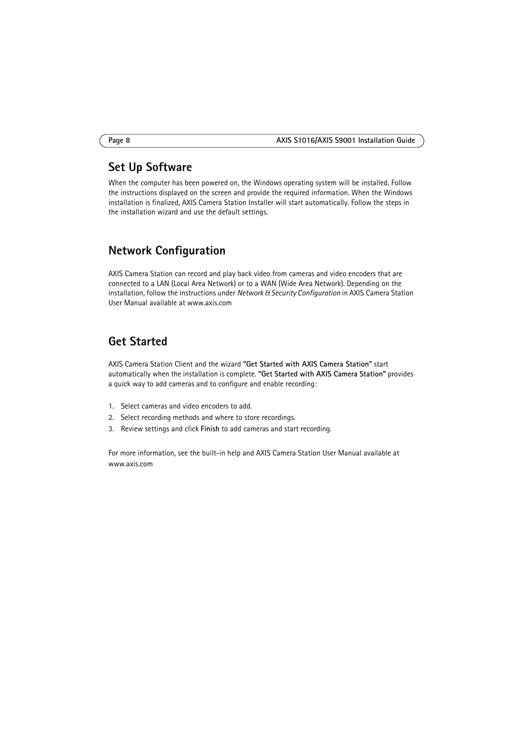## <span id="page-7-1"></span>**Set Up Software**

When the computer has been powered on, the Windows operating system will be installed. Follow the instructions displayed on the screen and provide the required information. When the Windows installation is finalized, AXIS Camera Station Installer will start automatically. Follow the steps in the installation wizard and use the default settings.

## <span id="page-7-2"></span>**Network Configuration**

AXIS Camera Station can record and play back video from cameras and video encoders that are connected to a LAN (Local Area Network) or to a WAN (Wide Area Network). Depending on the installation, follow the instructions under *Network & Security Configuration* in AXIS Camera Station User Manual available at www.axis.com

## <span id="page-7-0"></span>**Get Started**

AXIS Camera Station Client and the wizard **"Get Started with AXIS Camera Station"** start automatically when the installation is complete. **"Get Started with AXIS Camera Station"** provides a quick way to add cameras and to configure and enable recording:

- 1. Select cameras and video encoders to add.
- 2. Select recording methods and where to store recordings.
- 3. Review settings and click **Finish** to add cameras and start recording.

For more information, see the built-in help and AXIS Camera Station User Manual available at www.axis.com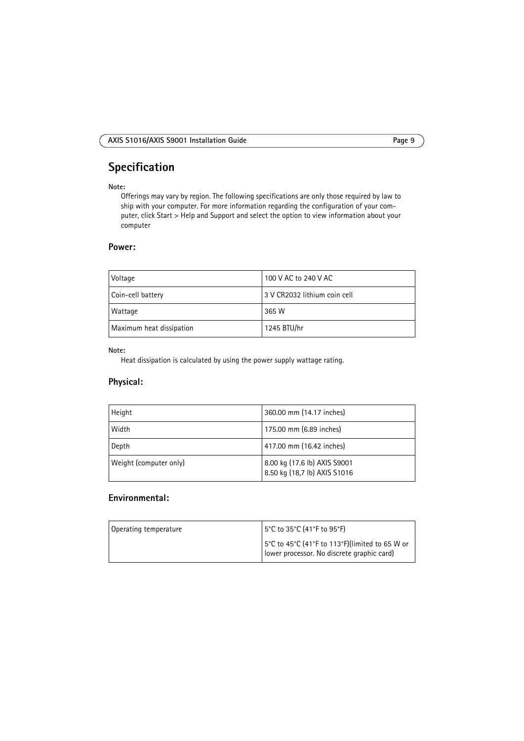## **Specification**

#### **Note:**

Offerings may vary by region. The following specifications are only those required by law to ship with your computer. For more information regarding the configuration of your computer, click Start > Help and Support and select the option to view information about your computer

#### **Power:**

| Voltage                  | 100 V AC to 240 V AC         |
|--------------------------|------------------------------|
| Coin-cell battery        | 3 V CR2032 lithium coin cell |
| Wattage                  | 365 W                        |
| Maximum heat dissipation | 1245 BTU/hr                  |

#### **Note:**

Heat dissipation is calculated by using the power supply wattage rating.

#### **Physical:**

| Height                 | 360.00 mm (14.17 inches)                                     |
|------------------------|--------------------------------------------------------------|
| Width                  | 175.00 mm (6.89 inches)                                      |
| Depth                  | 417.00 mm (16.42 inches)                                     |
| Weight (computer only) | 8.00 kg (17.6 lb) AXIS S9001<br>8.50 kg (18,7 lb) AXIS S1016 |

### **Environmental:**

| Operating temperature | 5°C to 35°C (41°F to 95°F)                                                                   |
|-----------------------|----------------------------------------------------------------------------------------------|
|                       | 5°C to 45°C (41°F to 113°F)(limited to 65 W or<br>lower processor. No discrete graphic card) |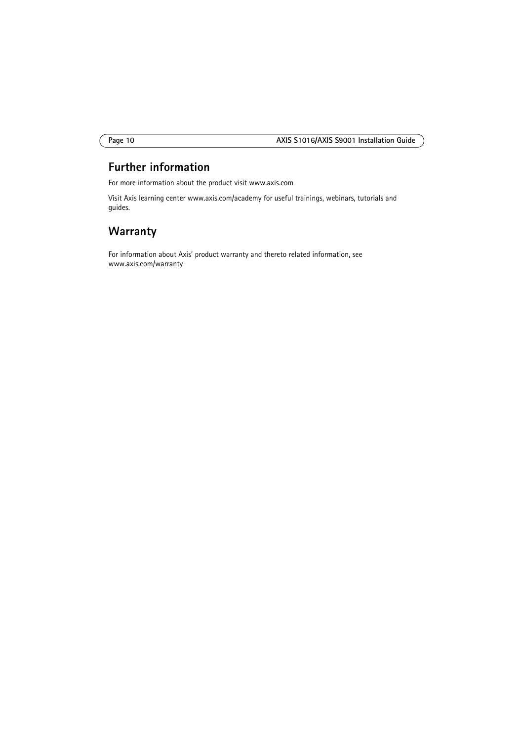## **Further information**

For more information about the product visit www.axis.com

Visit Axis learning center www.axis.com/academy for useful trainings, webinars, tutorials and guides.

## **Warranty**

For information about Axis' product warranty and thereto related information, see www.axis.com/warranty